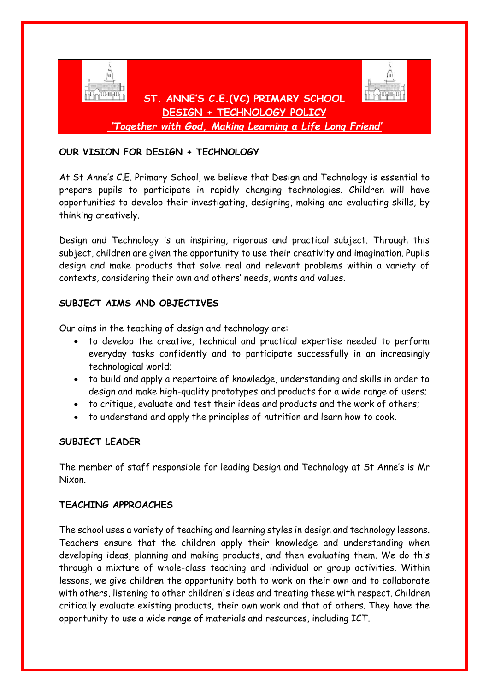

## **OUR VISION FOR DESIGN + TECHNOLOGY**

At St Anne's C.E. Primary School, we believe that Design and Technology is essential to prepare pupils to participate in rapidly changing technologies. Children will have opportunities to develop their investigating, designing, making and evaluating skills, by thinking creatively.

Design and Technology is an inspiring, rigorous and practical subject. Through this subject, children are given the opportunity to use their creativity and imagination. Pupils design and make products that solve real and relevant problems within a variety of contexts, considering their own and others' needs, wants and values.

#### **SUBJECT AIMS AND OBJECTIVES**

Our aims in the teaching of design and technology are:

- to develop the creative, technical and practical expertise needed to perform everyday tasks confidently and to participate successfully in an increasingly technological world;
- to build and apply a repertoire of knowledge, understanding and skills in order to design and make high-quality prototypes and products for a wide range of users;
- to critique, evaluate and test their ideas and products and the work of others;
- to understand and apply the principles of nutrition and learn how to cook.

#### **SUBJECT LEADER**

The member of staff responsible for leading Design and Technology at St Anne's is Mr Nixon.

#### **TEACHING APPROACHES**

The school uses a variety of teaching and learning styles in design and technology lessons. Teachers ensure that the children apply their knowledge and understanding when developing ideas, planning and making products, and then evaluating them. We do this through a mixture of whole-class teaching and individual or group activities. Within lessons, we give children the opportunity both to work on their own and to collaborate with others, listening to other children's ideas and treating these with respect. Children critically evaluate existing products, their own work and that of others. They have the opportunity to use a wide range of materials and resources, including ICT.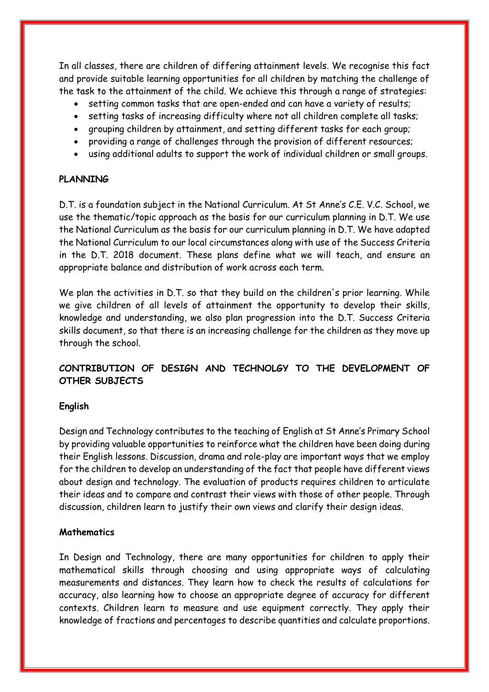In all classes, there are children of differing attainment levels. We recognise this fact and provide suitable learning opportunities for all children by matching the challenge of the task to the attainment of the child. We achieve this through a range of strategies:

- setting common tasks that are open-ended and can have a variety of results;
- setting tasks of increasing difficulty where not all children complete all tasks;
- grouping children by attainment, and setting different tasks for each group;
- providing a range of challenges through the provision of different resources;
- using additional adults to support the work of individual children or small groups.

## **PLANNING**

D.T. is a foundation subject in the National Curriculum. At St Anne's C.E. V.C. School, we use the thematic/topic approach as the basis for our curriculum planning in D.T. We use the National Curriculum as the basis for our curriculum planning in D.T. We have adapted the National Curriculum to our local circumstances along with use of the Success Criteria in the D.T. 2018 document. These plans define what we will teach, and ensure an appropriate balance and distribution of work across each term.

We plan the activities in D.T. so that they build on the children's prior learning. While we give children of all levels of attainment the opportunity to develop their skills, knowledge and understanding, we also plan progression into the D.T. Success Criteria skills document, so that there is an increasing challenge for the children as they move up through the school.

# **CONTRIBUTION OF DESIGN AND TECHNOLGY TO THE DEVELOPMENT OF OTHER SUBJECTS**

#### **English**

Design and Technology contributes to the teaching of English at St Anne's Primary School by providing valuable opportunities to reinforce what the children have been doing during their English lessons. Discussion, drama and role-play are important ways that we employ for the children to develop an understanding of the fact that people have different views about design and technology. The evaluation of products requires children to articulate their ideas and to compare and contrast their views with those of other people. Through discussion, children learn to justify their own views and clarify their design ideas.

# **Mathematics**

In Design and Technology, there are many opportunities for children to apply their mathematical skills through choosing and using appropriate ways of calculating measurements and distances. They learn how to check the results of calculations for accuracy, also learning how to choose an appropriate degree of accuracy for different contexts. Children learn to measure and use equipment correctly. They apply their knowledge of fractions and percentages to describe quantities and calculate proportions.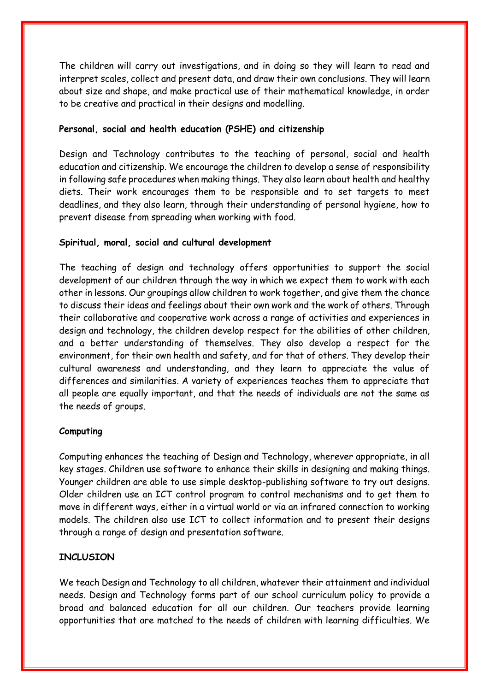The children will carry out investigations, and in doing so they will learn to read and interpret scales, collect and present data, and draw their own conclusions. They will learn about size and shape, and make practical use of their mathematical knowledge, in order to be creative and practical in their designs and modelling.

## **Personal, social and health education (PSHE) and citizenship**

Design and Technology contributes to the teaching of personal, social and health education and citizenship. We encourage the children to develop a sense of responsibility in following safe procedures when making things. They also learn about health and healthy diets. Their work encourages them to be responsible and to set targets to meet deadlines, and they also learn, through their understanding of personal hygiene, how to prevent disease from spreading when working with food.

## **Spiritual, moral, social and cultural development**

The teaching of design and technology offers opportunities to support the social development of our children through the way in which we expect them to work with each other in lessons. Our groupings allow children to work together, and give them the chance to discuss their ideas and feelings about their own work and the work of others. Through their collaborative and cooperative work across a range of activities and experiences in design and technology, the children develop respect for the abilities of other children, and a better understanding of themselves. They also develop a respect for the environment, for their own health and safety, and for that of others. They develop their cultural awareness and understanding, and they learn to appreciate the value of differences and similarities. A variety of experiences teaches them to appreciate that all people are equally important, and that the needs of individuals are not the same as the needs of groups.

# **Computing**

Computing enhances the teaching of Design and Technology, wherever appropriate, in all key stages. Children use software to enhance their skills in designing and making things. Younger children are able to use simple desktop-publishing software to try out designs. Older children use an ICT control program to control mechanisms and to get them to move in different ways, either in a virtual world or via an infrared connection to working models. The children also use ICT to collect information and to present their designs through a range of design and presentation software.

# **INCLUSION**

We teach Design and Technology to all children, whatever their attainment and individual needs. Design and Technology forms part of our school curriculum policy to provide a broad and balanced education for all our children. Our teachers provide learning opportunities that are matched to the needs of children with learning difficulties. We